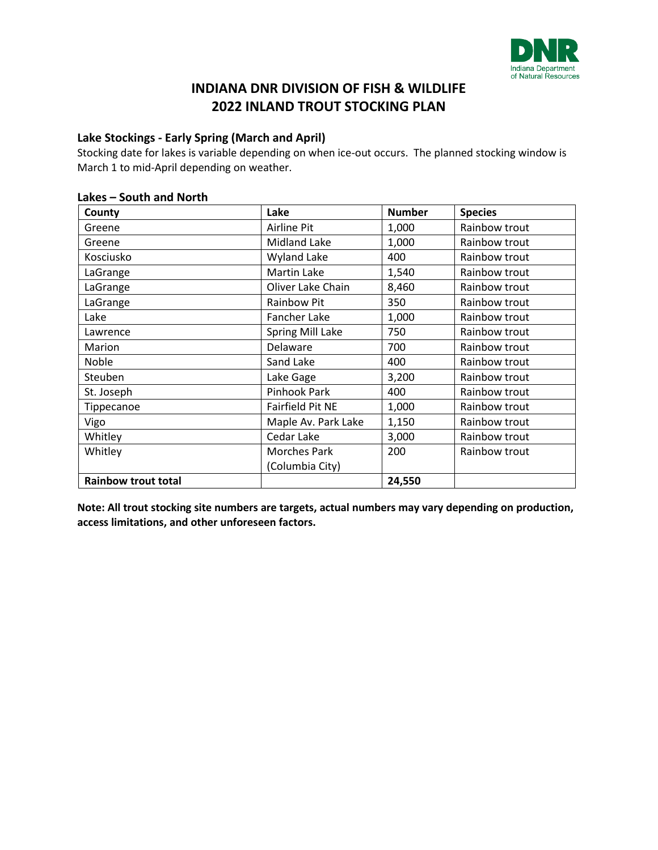

## **Lake Stockings - Early Spring (March and April)**

Stocking date for lakes is variable depending on when ice-out occurs. The planned stocking window is March 1 to mid-April depending on weather.

### **Lakes – South and North**

| County                     | Lake                      | <b>Number</b>          | <b>Species</b> |
|----------------------------|---------------------------|------------------------|----------------|
| Greene                     | Airline Pit               | 1,000                  | Rainbow trout  |
| Greene                     | Midland Lake              | 1,000<br>Rainbow trout |                |
| Kosciusko                  | <b>Wyland Lake</b><br>400 |                        | Rainbow trout  |
| LaGrange                   | <b>Martin Lake</b>        | 1,540<br>Rainbow trout |                |
| LaGrange                   | Oliver Lake Chain         | 8,460                  | Rainbow trout  |
| LaGrange                   | <b>Rainbow Pit</b>        | 350                    | Rainbow trout  |
| Lake                       | Fancher Lake              | 1,000                  | Rainbow trout  |
| Lawrence                   | <b>Spring Mill Lake</b>   | 750                    | Rainbow trout  |
| Marion                     | Delaware                  | 700                    | Rainbow trout  |
| Noble                      | Sand Lake                 | 400                    | Rainbow trout  |
| Steuben                    | Lake Gage                 | 3,200                  | Rainbow trout  |
| St. Joseph                 | Pinhook Park              | 400                    | Rainbow trout  |
| Tippecanoe                 | Fairfield Pit NE          | 1,000                  | Rainbow trout  |
| Vigo                       | Maple Av. Park Lake       | 1,150                  | Rainbow trout  |
| Whitley                    | Cedar Lake                | 3,000                  | Rainbow trout  |
| Whitley                    | <b>Morches Park</b>       | 200                    | Rainbow trout  |
|                            | (Columbia City)           |                        |                |
| <b>Rainbow trout total</b> |                           | 24,550                 |                |

**Note: All trout stocking site numbers are targets, actual numbers may vary depending on production, access limitations, and other unforeseen factors.**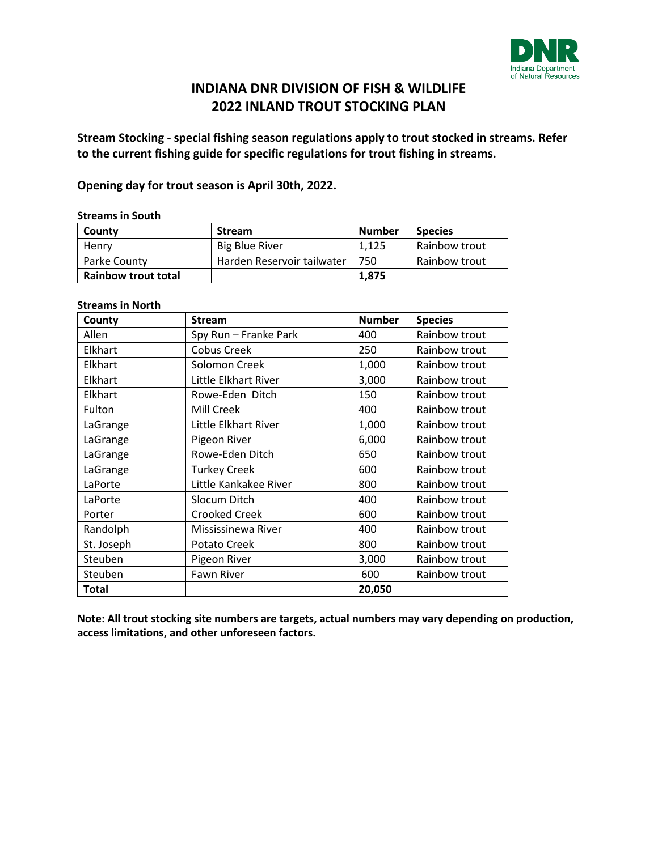

**Stream Stocking - special fishing season regulations apply to trout stocked in streams. Refer to the current fishing guide for specific regulations for trout fishing in streams.** 

**Opening day for trout season is April 30th, 2022.** 

#### **Streams in South**

| County                     | <b>Stream</b>              | <b>Number</b> | <b>Species</b> |
|----------------------------|----------------------------|---------------|----------------|
| Henry                      | <b>Big Blue River</b>      | 1.125         | Rainbow trout  |
| Parke County               | Harden Reservoir tailwater | 750           | Rainbow trout  |
| <b>Rainbow trout total</b> |                            | 1.875         |                |

#### **Streams in North**

| County       | <b>Stream</b>         | <b>Number</b> | <b>Species</b> |
|--------------|-----------------------|---------------|----------------|
| Allen        | Spy Run - Franke Park | 400           | Rainbow trout  |
| Elkhart      | <b>Cobus Creek</b>    | 250           | Rainbow trout  |
| Elkhart      | Solomon Creek         | 1,000         | Rainbow trout  |
| Elkhart      | Little Elkhart River  | 3,000         | Rainbow trout  |
| Elkhart      | Rowe-Eden Ditch       | 150           | Rainbow trout  |
| Fulton       | Mill Creek            | 400           | Rainbow trout  |
| LaGrange     | Little Elkhart River  | 1,000         | Rainbow trout  |
| LaGrange     | Pigeon River          | 6,000         | Rainbow trout  |
| LaGrange     | Rowe-Eden Ditch       | 650           | Rainbow trout  |
| LaGrange     | <b>Turkey Creek</b>   | 600           | Rainbow trout  |
| LaPorte      | Little Kankakee River | 800           | Rainbow trout  |
| LaPorte      | Slocum Ditch          | 400           | Rainbow trout  |
| Porter       | <b>Crooked Creek</b>  | 600           | Rainbow trout  |
| Randolph     | Mississinewa River    | 400           | Rainbow trout  |
| St. Joseph   | Potato Creek          | 800           | Rainbow trout  |
| Steuben      | Pigeon River          | 3,000         | Rainbow trout  |
| Steuben      | <b>Fawn River</b>     | 600           | Rainbow trout  |
| <b>Total</b> |                       | 20,050        |                |

**Note: All trout stocking site numbers are targets, actual numbers may vary depending on production, access limitations, and other unforeseen factors.**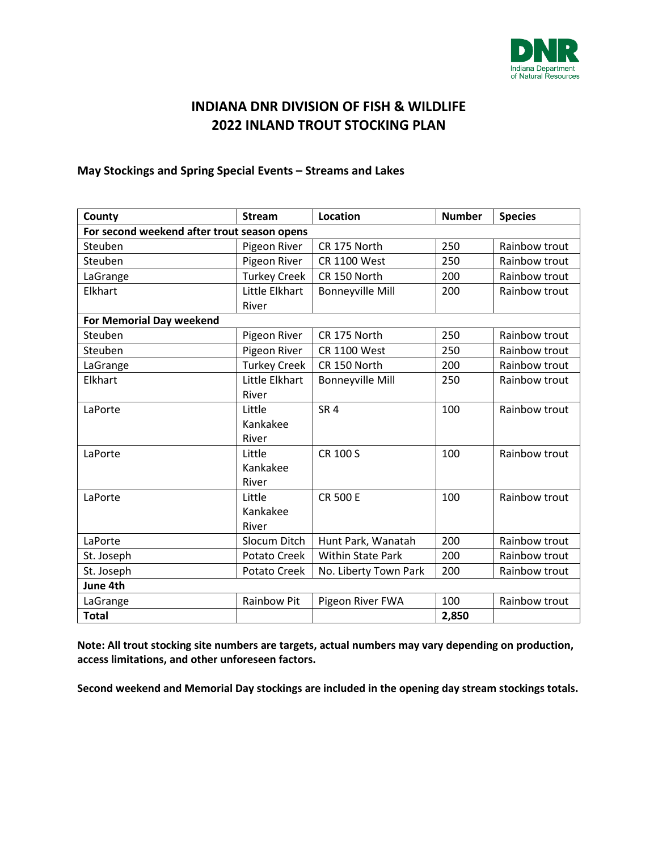

## **May Stockings and Spring Special Events – Streams and Lakes**

| County                                      | <b>Stream</b>       | <b>Location</b>          | <b>Number</b> | <b>Species</b> |
|---------------------------------------------|---------------------|--------------------------|---------------|----------------|
| For second weekend after trout season opens |                     |                          |               |                |
| Steuben                                     | Pigeon River        | CR 175 North             | 250           | Rainbow trout  |
| Steuben                                     | Pigeon River        | <b>CR 1100 West</b>      | 250           | Rainbow trout  |
| LaGrange                                    | <b>Turkey Creek</b> | CR 150 North             | 200           | Rainbow trout  |
| Elkhart                                     | Little Elkhart      | <b>Bonneyville Mill</b>  | 200           | Rainbow trout  |
|                                             | River               |                          |               |                |
| <b>For Memorial Day weekend</b>             |                     |                          |               |                |
| Steuben                                     | Pigeon River        | CR 175 North             | 250           | Rainbow trout  |
| Steuben                                     | Pigeon River        | <b>CR 1100 West</b>      | 250           | Rainbow trout  |
| LaGrange                                    | <b>Turkey Creek</b> | CR 150 North             | 200           | Rainbow trout  |
| Elkhart                                     | Little Elkhart      | <b>Bonneyville Mill</b>  | 250           | Rainbow trout  |
|                                             | River               |                          |               |                |
| LaPorte                                     | Little              | SR <sub>4</sub>          | 100           | Rainbow trout  |
|                                             | Kankakee            |                          |               |                |
|                                             | River               |                          |               |                |
| LaPorte                                     | Little              | CR 100 S                 | 100           | Rainbow trout  |
|                                             | Kankakee            |                          |               |                |
|                                             | River               |                          |               |                |
| LaPorte                                     | Little              | <b>CR 500 E</b>          | 100           | Rainbow trout  |
|                                             | Kankakee            |                          |               |                |
|                                             | River               |                          |               |                |
| LaPorte                                     | Slocum Ditch        | Hunt Park, Wanatah       | 200           | Rainbow trout  |
| St. Joseph                                  | Potato Creek        | <b>Within State Park</b> | 200           | Rainbow trout  |
| St. Joseph                                  | <b>Potato Creek</b> | No. Liberty Town Park    | 200           | Rainbow trout  |
| June 4th                                    |                     |                          |               |                |
| LaGrange                                    | <b>Rainbow Pit</b>  | Pigeon River FWA         | 100           | Rainbow trout  |
| <b>Total</b>                                |                     |                          | 2,850         |                |

**Note: All trout stocking site numbers are targets, actual numbers may vary depending on production, access limitations, and other unforeseen factors.** 

**Second weekend and Memorial Day stockings are included in the opening day stream stockings totals.**